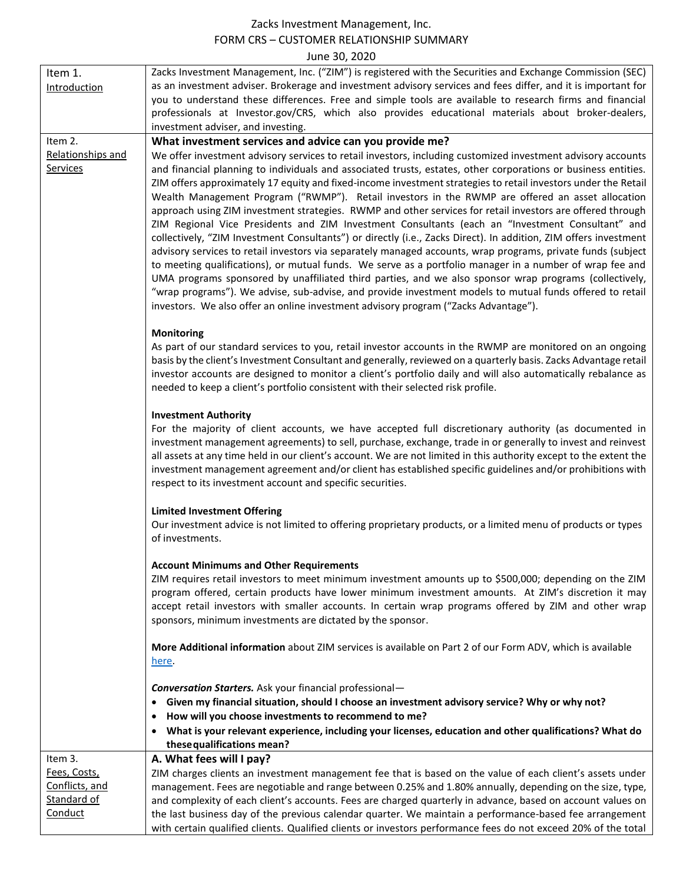## Zacks Investment Management, Inc. FORM CRS – CUSTOMER RELATIONSHIP SUMMARY June 30, 2020

| Item 1.<br>Introduction              | Zacks Investment Management, Inc. ("ZIM") is registered with the Securities and Exchange Commission (SEC)<br>as an investment adviser. Brokerage and investment advisory services and fees differ, and it is important for<br>you to understand these differences. Free and simple tools are available to research firms and financial<br>professionals at Investor.gov/CRS, which also provides educational materials about broker-dealers,<br>investment adviser, and investing.                                                                                                                                                                                                                                                                                                                                                                                                                                                                                                                                                                                                                                                                                                                                                                                                                                                  |
|--------------------------------------|-------------------------------------------------------------------------------------------------------------------------------------------------------------------------------------------------------------------------------------------------------------------------------------------------------------------------------------------------------------------------------------------------------------------------------------------------------------------------------------------------------------------------------------------------------------------------------------------------------------------------------------------------------------------------------------------------------------------------------------------------------------------------------------------------------------------------------------------------------------------------------------------------------------------------------------------------------------------------------------------------------------------------------------------------------------------------------------------------------------------------------------------------------------------------------------------------------------------------------------------------------------------------------------------------------------------------------------|
| Item 2.                              | What investment services and advice can you provide me?                                                                                                                                                                                                                                                                                                                                                                                                                                                                                                                                                                                                                                                                                                                                                                                                                                                                                                                                                                                                                                                                                                                                                                                                                                                                             |
| Relationships and<br><b>Services</b> | We offer investment advisory services to retail investors, including customized investment advisory accounts<br>and financial planning to individuals and associated trusts, estates, other corporations or business entities.<br>ZIM offers approximately 17 equity and fixed-income investment strategies to retail investors under the Retail<br>Wealth Management Program ("RWMP"). Retail investors in the RWMP are offered an asset allocation<br>approach using ZIM investment strategies. RWMP and other services for retail investors are offered through<br>ZIM Regional Vice Presidents and ZIM Investment Consultants (each an "Investment Consultant" and<br>collectively, "ZIM Investment Consultants") or directly (i.e., Zacks Direct). In addition, ZIM offers investment<br>advisory services to retail investors via separately managed accounts, wrap programs, private funds (subject<br>to meeting qualifications), or mutual funds. We serve as a portfolio manager in a number of wrap fee and<br>UMA programs sponsored by unaffiliated third parties, and we also sponsor wrap programs (collectively,<br>"wrap programs"). We advise, sub-advise, and provide investment models to mutual funds offered to retail<br>investors. We also offer an online investment advisory program ("Zacks Advantage"). |
|                                      | <b>Monitoring</b><br>As part of our standard services to you, retail investor accounts in the RWMP are monitored on an ongoing<br>basis by the client's Investment Consultant and generally, reviewed on a quarterly basis. Zacks Advantage retail<br>investor accounts are designed to monitor a client's portfolio daily and will also automatically rebalance as<br>needed to keep a client's portfolio consistent with their selected risk profile.                                                                                                                                                                                                                                                                                                                                                                                                                                                                                                                                                                                                                                                                                                                                                                                                                                                                             |
|                                      | <b>Investment Authority</b><br>For the majority of client accounts, we have accepted full discretionary authority (as documented in<br>investment management agreements) to sell, purchase, exchange, trade in or generally to invest and reinvest<br>all assets at any time held in our client's account. We are not limited in this authority except to the extent the<br>investment management agreement and/or client has established specific guidelines and/or prohibitions with<br>respect to its investment account and specific securities.                                                                                                                                                                                                                                                                                                                                                                                                                                                                                                                                                                                                                                                                                                                                                                                |
|                                      | <b>Limited Investment Offering</b><br>Our investment advice is not limited to offering proprietary products, or a limited menu of products or types<br>of investments.                                                                                                                                                                                                                                                                                                                                                                                                                                                                                                                                                                                                                                                                                                                                                                                                                                                                                                                                                                                                                                                                                                                                                              |
|                                      | <b>Account Minimums and Other Requirements</b><br>ZIM requires retail investors to meet minimum investment amounts up to \$500,000; depending on the ZIM                                                                                                                                                                                                                                                                                                                                                                                                                                                                                                                                                                                                                                                                                                                                                                                                                                                                                                                                                                                                                                                                                                                                                                            |
|                                      | program offered, certain products have lower minimum investment amounts. At ZIM's discretion it may<br>accept retail investors with smaller accounts. In certain wrap programs offered by ZIM and other wrap<br>sponsors, minimum investments are dictated by the sponsor.                                                                                                                                                                                                                                                                                                                                                                                                                                                                                                                                                                                                                                                                                                                                                                                                                                                                                                                                                                                                                                                          |
|                                      | More Additional information about ZIM services is available on Part 2 of our Form ADV, which is available<br>here.                                                                                                                                                                                                                                                                                                                                                                                                                                                                                                                                                                                                                                                                                                                                                                                                                                                                                                                                                                                                                                                                                                                                                                                                                  |
|                                      | <b>Conversation Starters.</b> Ask your financial professional-                                                                                                                                                                                                                                                                                                                                                                                                                                                                                                                                                                                                                                                                                                                                                                                                                                                                                                                                                                                                                                                                                                                                                                                                                                                                      |
|                                      | Given my financial situation, should I choose an investment advisory service? Why or why not?                                                                                                                                                                                                                                                                                                                                                                                                                                                                                                                                                                                                                                                                                                                                                                                                                                                                                                                                                                                                                                                                                                                                                                                                                                       |
|                                      | How will you choose investments to recommend to me?<br>٠                                                                                                                                                                                                                                                                                                                                                                                                                                                                                                                                                                                                                                                                                                                                                                                                                                                                                                                                                                                                                                                                                                                                                                                                                                                                            |
|                                      | What is your relevant experience, including your licenses, education and other qualifications? What do<br>these qualifications mean?                                                                                                                                                                                                                                                                                                                                                                                                                                                                                                                                                                                                                                                                                                                                                                                                                                                                                                                                                                                                                                                                                                                                                                                                |
| Item 3.                              | A. What fees will I pay?                                                                                                                                                                                                                                                                                                                                                                                                                                                                                                                                                                                                                                                                                                                                                                                                                                                                                                                                                                                                                                                                                                                                                                                                                                                                                                            |
| Fees, Costs,                         | ZIM charges clients an investment management fee that is based on the value of each client's assets under                                                                                                                                                                                                                                                                                                                                                                                                                                                                                                                                                                                                                                                                                                                                                                                                                                                                                                                                                                                                                                                                                                                                                                                                                           |
| Conflicts, and                       | management. Fees are negotiable and range between 0.25% and 1.80% annually, depending on the size, type,                                                                                                                                                                                                                                                                                                                                                                                                                                                                                                                                                                                                                                                                                                                                                                                                                                                                                                                                                                                                                                                                                                                                                                                                                            |
| Standard of                          | and complexity of each client's accounts. Fees are charged quarterly in advance, based on account values on                                                                                                                                                                                                                                                                                                                                                                                                                                                                                                                                                                                                                                                                                                                                                                                                                                                                                                                                                                                                                                                                                                                                                                                                                         |
| Conduct                              | the last business day of the previous calendar quarter. We maintain a performance-based fee arrangement                                                                                                                                                                                                                                                                                                                                                                                                                                                                                                                                                                                                                                                                                                                                                                                                                                                                                                                                                                                                                                                                                                                                                                                                                             |
|                                      | with certain qualified clients. Qualified clients or investors performance fees do not exceed 20% of the total                                                                                                                                                                                                                                                                                                                                                                                                                                                                                                                                                                                                                                                                                                                                                                                                                                                                                                                                                                                                                                                                                                                                                                                                                      |